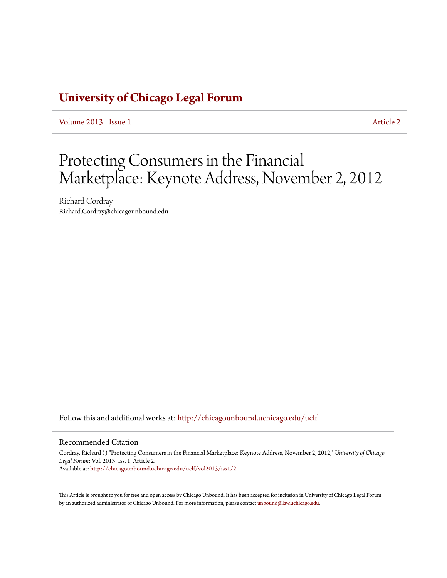## **[University of Chicago Legal Forum](http://chicagounbound.uchicago.edu/uclf?utm_source=chicagounbound.uchicago.edu%2Fuclf%2Fvol2013%2Fiss1%2F2&utm_medium=PDF&utm_campaign=PDFCoverPages)**

[Volume 2013](http://chicagounbound.uchicago.edu/uclf/vol2013?utm_source=chicagounbound.uchicago.edu%2Fuclf%2Fvol2013%2Fiss1%2F2&utm_medium=PDF&utm_campaign=PDFCoverPages) | [Issue 1](http://chicagounbound.uchicago.edu/uclf/vol2013/iss1?utm_source=chicagounbound.uchicago.edu%2Fuclf%2Fvol2013%2Fiss1%2F2&utm_medium=PDF&utm_campaign=PDFCoverPages) [Article 2](http://chicagounbound.uchicago.edu/uclf/vol2013/iss1/2?utm_source=chicagounbound.uchicago.edu%2Fuclf%2Fvol2013%2Fiss1%2F2&utm_medium=PDF&utm_campaign=PDFCoverPages)

# Protecting Consumers in the Financial Marketplace: Keynote Address, November 2, 2012

Richard Cordray Richard.Cordray@chicagounbound.edu

Follow this and additional works at: [http://chicagounbound.uchicago.edu/uclf](http://chicagounbound.uchicago.edu/uclf?utm_source=chicagounbound.uchicago.edu%2Fuclf%2Fvol2013%2Fiss1%2F2&utm_medium=PDF&utm_campaign=PDFCoverPages)

#### Recommended Citation

Cordray, Richard () "Protecting Consumers in the Financial Marketplace: Keynote Address, November 2, 2012," *University of Chicago Legal Forum*: Vol. 2013: Iss. 1, Article 2. Available at: [http://chicagounbound.uchicago.edu/uclf/vol2013/iss1/2](http://chicagounbound.uchicago.edu/uclf/vol2013/iss1/2?utm_source=chicagounbound.uchicago.edu%2Fuclf%2Fvol2013%2Fiss1%2F2&utm_medium=PDF&utm_campaign=PDFCoverPages)

This Article is brought to you for free and open access by Chicago Unbound. It has been accepted for inclusion in University of Chicago Legal Forum by an authorized administrator of Chicago Unbound. For more information, please contact [unbound@law.uchicago.edu](mailto:unbound@law.uchicago.edu).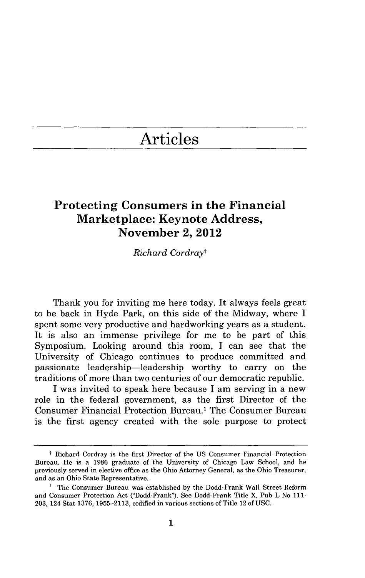## Articles

### **Protecting Consumers in the Financial Marketplace: Keynote Address, November 2, 2012**

*Richard Cordrayt*

Thank you for inviting me here today. It always feels great to be back in Hyde Park, on this side of the Midway, where **I** spent some very productive and hardworking years as a student. It is also an immense privilege for me to be part of this Symposium. Looking around this room, I can see that the University of Chicago continues to produce committed and passionate leadership-leadership worthy to carry on the traditions of more than two centuries of our democratic republic.

**I** was invited to speak here because **I** am serving in a new role in the federal government, as the first Director of the Consumer Financial Protection Bureau.' The Consumer Bureau is the first agency created with the sole purpose to protect

t Richard Cordray is the first Director of the **US** Consumer Financial Protection Bureau. He is a **1986** graduate of the University of Chicago Law School, and he previously served in elective office as the Ohio Attorney General, as the Ohio Treasurer, and as an Ohio State Representative.

**<sup>&#</sup>x27;** The Consumer Bureau was established **by** the Dodd-Frank Wall Street Reform and Consumer Protection Act ("Dodd-Frank"). See Dodd-Frank Title X, Pub L No **111- 203,** 124 Stat **1376, 1955-2113,** codified in various sections of Title 12 of **USC.**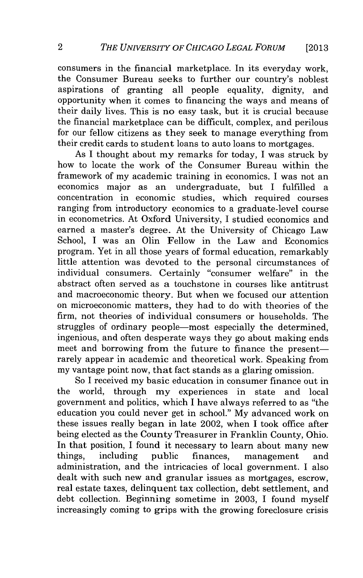consumers in the financial marketplace. In its everyday work, the Consumer Bureau seeks to further our country's noblest aspirations of granting all people equality, dignity, and opportunity when it comes to financing the ways and means of their daily lives. This is no easy task, but it is crucial because the financial marketplace can be difficult, complex, and perilous for our fellow citizens as they seek to manage everything from their credit cards to student loans to auto loans to mortgages.

As **I** thought about my remarks for today, **I** was struck **by** how to locate the work of the Consumer Bureau within the framework of my academic training in economics. **I** was not an economics major as an undergraduate, but **I** fulfilled a concentration in economic studies, which required courses ranging from introductory economics to a graduate-level course in econometrics. At Oxford University, **I** studied economics and earned a master's degree. At the University of Chicago Law School, **I** was an Olin Fellow in the Law and Economics program. Yet in all those years of formal education, remarkably little attention was devoted to the personal circumstances of individual consumers. Certainly "consumer welfare" in the abstract often served as a touchstone in courses like antitrust and macroeconomic theory. But when we focused our attention on microeconomic matters, they had to do with theories of the firm, not theories of individual consumers or households. The struggles of ordinary people-most especially the determined, ingenious, and often desperate ways they go about making ends meet and borrowing from the future to finance the presentrarely appear in academic and theoretical work. Speaking from my vantage point now, that fact stands as a glaring omission.

So **I** received my basic education in consumer finance out in the world, through my experiences in state and local government and politics, which **I** have always referred to as "the education you could never get in school." **My** advanced work on these issues really began in late 2002, when **I** took office after being elected as the County Treasurer in Franklin County, Ohio. In that position, **I** found it necessary to learn about many new things, including public finances, management and administration, and the intricacies of local government. **I** also dealt with such new and granular issues as mortgages, escrow, real estate taxes, delinquent tax collection, debt settlement, and debt collection. Beginning sometime in **2003,** I found myself increasingly coming to grips with the growing foreclosure crisis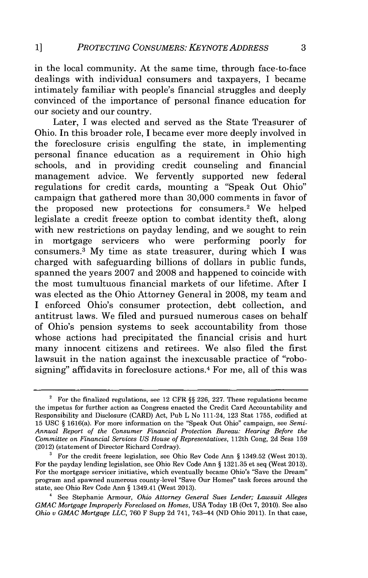in the local community. At the same time, through face-to-face dealings with individual consumers and taxpayers, **I** became intimately familiar with people's financial struggles and deeply convinced of the importance of personal finance education for our society and our country.

Later, **I** was elected and served as the State Treasurer of Ohio. In this broader role, **I** became ever more deeply involved in the foreclosure crisis engulfing the state, in implementing personal finance education as a requirement in Ohio high schools, and in providing credit counseling and financial management advice. We fervently supported new federal regulations for credit cards, mounting a "Speak Out Ohio" campaign that gathered more than **30,000** comments in favor of the proposed new protections for consumers.<sup>2</sup> We helped legislate a credit freeze option to combat identity theft, along with new restrictions on payday lending, and we sought to rein in mortgage servicers who were performing poorly for consumers. <sup>3</sup>**My** time as state treasurer, during which **I** was charged with safeguarding billions of dollars in public funds, spanned the years **2007** and **2008** and happened to coincide with the most tumultuous financial markets of our lifetime. After **I** was elected as the Ohio Attorney General in **2008,** my team and **I** enforced Ohio's consumer protection, debt collection, and antitrust laws. We filed and pursued numerous cases on behalf of Ohio's pension systems to seek accountability from those whose actions had precipitated the financial crisis and hurt many innocent citizens and retirees. We also filed the first lawsuit in the nation against the inexcusable practice of "robosigning" affidavits in foreclosure actions.4 For me, all of this was

**<sup>2</sup>**For the finalized regulations, see 12 CFR **§§ 226, 227.** These regulations became the impetus for further action as Congress enacted the Credit Card Accountability and Responsibility and Disclosure (CARD) Act, Pub L No 111-24, **123** Stat **1755,** codified at **15 USC §** 1616(a). For more information on the "Speak Out Ohio" campaign, see *Semi-Annual Report of the Consumer Financial Protection Bureau: Hearing Before the Committee on Financial Services US House of Representatives,* 112th Cong, **2d** Sess **159** (2012) (statement of Director Richard Cordray).

**<sup>3</sup>** For the credit freeze legislation, see Ohio Rev Code Ann **§** 1349.52 (West **2013).** For the payday lending legislation, see Ohio Rev Code Ann **§ 1321.35** et seq (West **2013).** For the mortgage servicer initiative, which eventually became Ohio's "Save the Dream" program and spawned numerous county-level "Save Our Homes" task forces around the state, see Ohio Rev Code Ann **§** 1349.41 (West **2013).**

<sup>4</sup> See Stephanie Armour, *Ohio Attorney General Sues Lender; Lawsuit Alleges GMAC Mortgage Improperly Foreclosed on Homes,* **USA** Today lB (Oct **7,** 2010). See also *Ohio v GMAC Mortgage LLC,* **760** F Supp **2d** 741, 743-44 **(ND** Ohio 2011). In that case,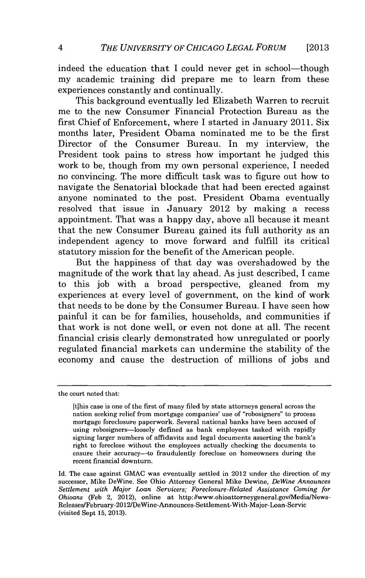indeed the education that I could never get in school—though my academic training did prepare me to learn from these experiences constantly and continually.

This background eventually led Elizabeth Warren to recruit me to the new Consumer Financial Protection Bureau as the first Chief of Enforcement, where I started in January 2011. Six months later, President Obama nominated me to be the first Director of the Consumer Bureau. In my interview, the President took pains to stress how important he judged this work to be, though from my own personal experience, **I** needed no convincing. The more difficult task was to figure out how to navigate the Senatorial blockade that had been erected against anyone nominated to the post. President Obama eventually resolved that issue in January 2012 **by** making a recess appointment. That was a happy day, above all because it meant that the new Consumer Bureau gained its full authority as an independent agency to move forward and fulfill its critical statutory mission for the benefit of the American people.

But the happiness of that day was overshadowed **by** the magnitude of the work that lay ahead. As just described, **I** came to this **job** with a broad perspective, gleaned from my experiences at every level of government, on the kind of work that needs to be done **by** the Consumer Bureau. **I** have seen how painful it can be for families, households, and communities if that work is not done well, or even not done at all. The recent financial crisis clearly demonstrated how unregulated or poorly regulated financial markets can undermine the stability of the economy and cause the destruction of millions of jobs and

the court noted that:

<sup>[</sup>tihis case is one of the first of many filed **by** state attorneys general across the nation seeking relief from mortgage companies' use of "robosigners" to process mortgage foreclosure paperwork. Several national banks have been accused of using robosigners-loosely defined as bank employees tasked with rapidly signing larger numbers of affidavits and legal documents asserting the bank's right to foreclose without the employees actually checking the documents to ensure their accuracy-to fraudulently foreclose on homeowners during the recent financial downturn.

Id. The case against **GMAC** was eventually settled in 2012 under the direction of my successor, Mike DeWine. See Ohio Attorney General Mike Dewine, *DeWine Announces Settlement with Major Loan Servicers; Foreclosure-Related Assistance Coming for Ohioans* (Feb 2, 2012), online at http://www.ohioattorneygeneral.gov/Media/News-Releases/February-2012/DeWine-Announces-Settlement-With-Major-Loan-Servic (visited Sept **15, 2013).**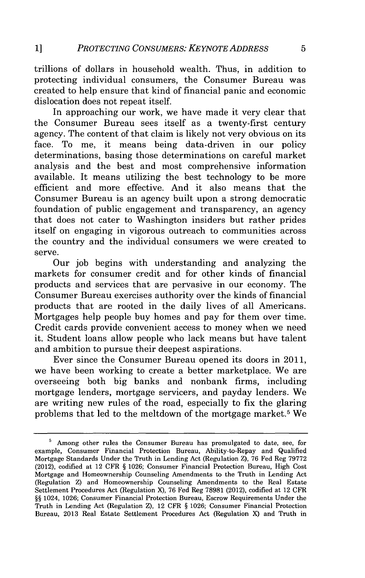trillions of dollars in household wealth. Thus, in addition to protecting individual consumers, the Consumer Bureau was created to help ensure that kind of financial panic and economic dislocation does not repeat itself.

In approaching our work, we have made it very clear that the Consumer Bureau sees itself as a twenty-first century agency. The content of that claim is likely not very obvious on its face. To me, it means being data-driven in our policy determinations, basing those determinations on careful market analysis and the best and most comprehensive information available. It means utilizing the best technology to be more efficient and more effective. And it also means that the Consumer Bureau is an agency built upon a strong democratic foundation of public engagement and transparency, an agency that does not cater to Washington insiders but rather prides itself on engaging in vigorous outreach to communities across the country and the individual consumers we were created to serve.

Our **job** begins with understanding and analyzing the markets for consumer credit and for other kinds of financial products and services that are pervasive in our economy. The Consumer Bureau exercises authority over the kinds of financial products that are rooted in the daily lives of all Americans. Mortgages help people buy homes and pay for them over time. Credit cards provide convenient access to money when we need it. Student loans allow people who lack means but have talent and ambition to pursue their deepest aspirations.

Ever since the Consumer Bureau opened its doors in 2011, we have been working to create a better marketplace. We are overseeing both big banks and nonbank firms, including mortgage lenders, mortgage servicers, and payday lenders. We are writing new rules of the road, especially to fix the glaring problems that led to the meltdown of the mortgage market.5 We

Among other rules the Consumer Bureau has promulgated to date, see, for example, Consumer Financial Protection Bureau, Ability-to-Repay and Qualified Mortgage Standards Under the Truth in Lending Act (Regulation Z), **76** Fed Reg **79772** (2012), codified at 12 CFR **§ 1026;** Consumer Financial Protection Bureau, High Cost Mortgage and Homeownership Counseling Amendments to the Truth in Lending Act (Regulation Z) and Homeownership Counseling Amendments to the Real Estate Settlement Procedures Act (Regulation X), **76 Fed** Reg **78981** (2012), codified at 12 CFR **§§** 1024, **1026;** Consumer Financial Protection Bureau, Escrow Requirements Under the Truth in Lending Act (Regulation Z), 12 CFR **§ 1026;** Consumer Financial Protection Bureau, **2013** Real Estate Settlement Procedures Act (Regulation X) and Truth in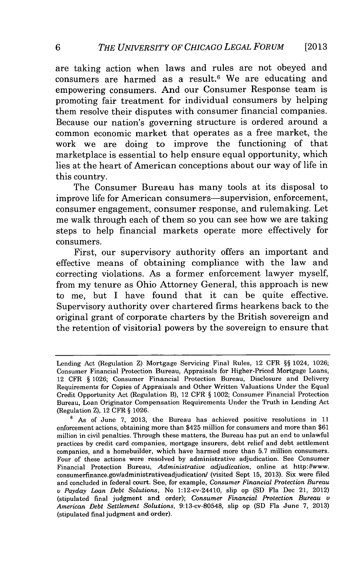are taking action when laws and rules are not obeyed and consumers are harmed as a result.<sup>6</sup> We are educating and empowering consumers. And our Consumer Response team is promoting fair treatment for individual consumers **by** helping them resolve their disputes with consumer financial companies. Because our nation's governing structure is ordered around a common economic market that operates as a free market, the work we are doing to improve the functioning of that marketplace is essential to help ensure equal opportunity, which lies at the heart of American conceptions about our way of life in this country.

The Consumer Bureau has many tools at its disposal to improve life for American consumers-supervision, enforcement, consumer engagement, consumer response, and rulemaking. Let me walk through each of them so you can see how we are taking steps to help financial markets operate more effectively for consumers.

First, our supervisory authority offers an important and effective means of obtaining compliance with the law and correcting violations. As a former enforcement lawyer myself, from my tenure as Ohio Attorney General, this approach is new to me, but **I** have found that it can be quite effective. Supervisory authority over chartered firms hearkens back to the original grant of corporate charters **by** the British sovereign and the retention of visitorial powers **by** the sovereign to ensure that

Lending Act (Regulation Z) Mortgage Servicing Final Rules, 12 CFR **§§** 1024, **1026;** Consumer Financial Protection Bureau, Appraisals for Higher-Priced Mortgage Loans, 12 CFR **§ 1026;** Consumer Financial Protection Bureau, Disclosure and Delivery Requirements for Copies of Appraisals and Other Written Valuations Under the Equal Credit Opportunity Act (Regulation B), 12 CFR **§** 1002; Consumer Financial Protection Bureau, Loan Originator Compensation Requirements Under the Truth in Lending Act (Regulation Z), 12 CFR **§ 1026.**

**<sup>6</sup>**As of June **7, 2013,** the Bureau has achieved positive resolutions in **11** enforcement actions, obtaining more than \$425 million for consumers and more than **\$61** million in civil penalties. Through these matters, the Bureau has put an end to unlawful practices **by** credit card companies, mortgage insurers, debt relief and debt settlement companies, and a homebuilder, which have harmed more than **5.7** million consumers. Four of these actions were resolved **by** administrative adjudication. See Consumer Financial Protection Bureau, *Administrative adjudication,* online at http://www. consumerfinance.gov/administrativeadjudication/ (visited Sept **15, 2013).** Six were filed and concluded in federal court. See, for example, *Consumer Financial Protection Bureau* v *Payday Loan* Debt *Solutions,* No 1:12-cv-24410, slip op **(SD** Fla Dec 21, 2012) (stipulated final judgment and order); *Consumer Financial Protection Bureau v American Debt Settlement Solutions,* 9:13-cv-80548, slip op **(SD** Fla June **7, 2013)** (stipulated final judgment and order).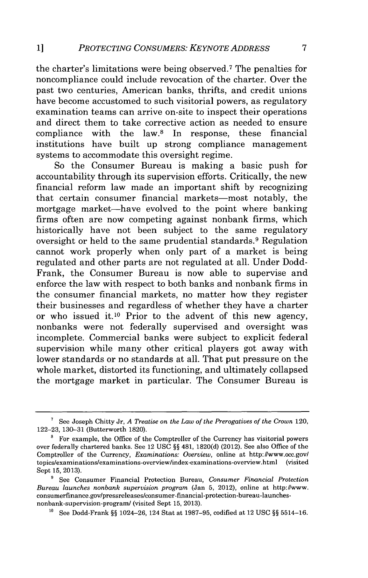the charter's limitations were being observed.7 The penalties for noncompliance could include revocation of the charter. Over the past two centuries, American banks, thrifts, and credit unions have become accustomed to such visitorial powers, as regulatory examination teams can arrive on-site to inspect their operations and direct them to take corrective action as needed to ensure compliance with the law.8 In response, these financial institutions have built up strong compliance management systems to accommodate this oversight regime.

So the Consumer Bureau is making a basic push for accountability through its supervision efforts. Critically, the new financial reform law made an important shift **by** recognizing that certain consumer financial markets-most notably, the mortgage market-have evolved to the point where banking firms often are now competing against nonbank firms, which historically have not been subject to the same regulatory oversight or held to the same prudential standards. 9 Regulation cannot work properly when only part of a market is being regulated and other parts are not regulated at all. Under Dodd-Frank, the Consumer Bureau is now able to supervise and enforce the law with respect to both banks and nonbank firms in the consumer financial markets, no matter how they register their businesses and regardless of whether they have a charter or who issued **it.1o** Prior to the advent of this new agency, nonbanks were not federally supervised and oversight was incomplete. Commercial banks were subject to explicit federal supervision while many other critical players got away with lower standards or no standards at all. That put pressure on the whole market, distorted its functioning, and ultimately collapsed the mortgage market in particular. The Consumer Bureau is

See Joseph Chitty Jr, *A Treatise on the Law of the Prerogatives of the Crown* 120, **122-23, 130-31** (Butterworth **1820).**

 $8$  For example, the Office of the Comptroller of the Currency has visitorial powers over federally chartered banks. See 12 **USC §§** 481, **1820(d)** (2012). See also Office of the Comptroller of the Currency, *Examinations: Overview,* online at *http://www.occ.gov/* topics/examinations/examinations-overview/index-examinations-overview.html (visited Sept **15, 2013).**

**<sup>9</sup>** See Consumer Financial Protection Bureau, *Consumer Financial Protection Bureau launches nonbank supervision program* (Jan **5,** 2012), online at http:Iwww. consumerfinance.gov/pressreleases/consumer-financial-protection-bureau-launchesnonbank-supervision-program/ (visited Sept **15, 2013).**

**<sup>10</sup>**See Dodd-Frank **§§** 1024-26, 124 Stat at **1987-95,** codified at 12 **USC §§ 5514-16.**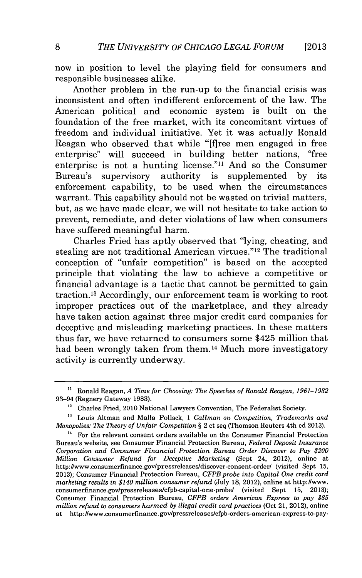now in position to level the playing field for consumers and responsible businesses alike.

Another problem in the run-up to the financial crisis was inconsistent and often indifferent enforcement of the law. The American political and economic system is built on the foundation of the free market, with its concomitant virtues of freedom and individual initiative. Yet it was actually Ronald Reagan who observed that while "[fjree men engaged in free enterprise" will succeed in building better nations, "free enterprise is not a hunting license." $11$  And so the Consumer Bureau's supervisory authority is supplemented **by** its enforcement capability, to be used when the circumstances warrant. This capability should not be wasted on trivial matters, but, as we have made clear, we will not hesitate to take action to prevent, remediate, and deter violations of law when consumers have suffered meaningful harm.

Charles Fried has aptly observed that "lying, cheating, and stealing are not traditional American virtues."<sup>12</sup> The traditional conception of "unfair competition" is based on the accepted principle that violating the law to achieve a competitive or financial advantage is a tactic that cannot be permitted to gain traction. 13 Accordingly, our enforcement team is working to root improper practices out of the marketplace, and they already have taken action against three major credit card companies for deceptive and misleading marketing practices. In these matters thus far, we have returned to consumers some \$425 million that had been wrongly taken from them.<sup>14</sup> Much more investigatory activity is currently underway.

**<sup>&</sup>quot;** Ronald Reagan, *A Time for Choosing: The Speeches of Ronald Reagan, 1961-1982* 93-94 (Regnery Gateway **1983).**

**<sup>12</sup>**Charles Fried, 2010 National Lawyers Convention, The Federalist Society.

**<sup>1&#</sup>x27;** Louis Altman and Malla Pollack, **1** *Callman on Competition, Trademarks and Monopolies: The Theory of Unfair Competition §* 2 et seq (Thomson Reuters 4th **ed 2013).**

<sup>&</sup>lt;sup>14</sup> For the relevant consent orders available on the Consumer Financial Protection Bureau's website, see Consumer Financial Protection Bureau, *Federal Deposit Insurance Corporation and Consumer Financial Protection Bureau Order Discover to Pay \$200 Million Consumer Refund for Deceptive Marketing* (Sept 24, 2012), online at http://www.consumerfinance.gov/pressreleases/discover-consent-order/ (visited Sept **15, 2013);** Consumer Financial Protection Bureau, *CFPB probe into Capital One credit card marketing results in \$140 million consumer refund* (July **18,** 2012), online at http://www. consumerfinance.gov/pressreleases/cfpb-capital-one-probe/ (visited Sept **15, 2013);** Consumer Financial Protection Bureau, *CFPB orders American Express to pay \$85 million refund to consumers harmed by illegal credit card practices* (Oct 21, 2012), online at http://www.consumerfinance.gov/pressreleases/cfpb-orders-american-express-to-pay-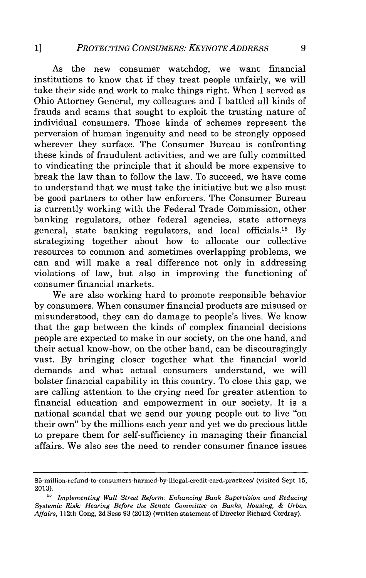As the new consumer watchdog, we want financial institutions to know that if they treat people unfairly, we will take their side and work to make things right. When I served as Ohio Attorney General, my colleagues and **I** battled all kinds of frauds and scams that sought to exploit the trusting nature of individual consumers. Those kinds of schemes represent the perversion of human ingenuity and need to be strongly opposed wherever they surface. The Consumer Bureau is confronting these kinds of fraudulent activities, and we are fully committed to vindicating the principle that it should be more expensive to break the law than to follow the law. To succeed, we have come to understand that we must take the initiative but we also must be good partners to other law enforcers. The Consumer Bureau is currently working with the Federal Trade Commission, other banking regulators, other federal agencies, state attorneys general, state banking regulators, and local officials.15 **By** strategizing together about how to allocate our collective resources to common and sometimes overlapping problems, we can and will make a real difference not only in addressing violations of law, but also in improving the functioning of consumer financial markets.

We are also working hard to promote responsible behavior **by** consumers. When consumer financial products are misused or misunderstood, they can do damage to people's lives. We know that the gap between the kinds of complex financial decisions people are expected to make in our society, on the one hand, and their actual know-how, on the other hand, can be discouragingly vast. **By** bringing closer together what the financial world demands and what actual consumers understand, we will bolster financial capability in this country. To close this gap, we are calling attention to the crying need for greater attention to financial education and empowerment in our society. It is a national scandal that we send our young people out to live "on their own" **by** the millions each year and yet we do precious little to prepare them for self-sufficiency in managing their financial affairs. We also see the need to render consumer finance issues

<sup>85-</sup>million-refund-to-consumers-harmed-by-illegal-credit-card-practices/ (visited Sept **15, 2013).**

**<sup>&#</sup>x27;5** *Implementing Wall Street Reform: Enhancing Bank Supervision and Reducing Systemic Risk: Hearing Before the Senate Committee on Banks, Housing, & Urban Affairs,* 112th Cong, **2d** Sess **93** (2012) (written statement of Director Richard Cordray).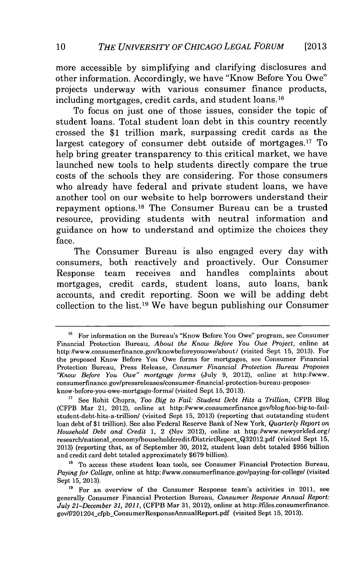more accessible **by** simplifying and clarifying disclosures and other information. Accordingly, we have "Know Before You Owe" projects underway with various consumer finance products, including mortgages, credit cards, and student loans. <sup>16</sup>

To focus on just one of those issues, consider the topic of student loans. Total student loan debt in this country recently crossed the **\$1** trillion mark, surpassing credit cards as the largest category of consumer debt outside of mortgages.<sup>17</sup> To help bring greater transparency to this critical market, we have launched new tools to help students directly compare the true costs of the schools they are considering. For those consumers who already have federal and private student loans, we have another tool on our website to help borrowers understand their repayment options.18 The Consumer Bureau can be a trusted resource, providing students with neutral information and guidance on how to understand and optimize the choices they face.

The Consumer Bureau is also engaged every day with consumers, both reactively and proactively. Our Consumer Response team receives and handles complaints about mortgages, credit cards, student loans, auto loans, bank accounts, and credit reporting. Soon we will be adding debt collection to the list.19 We have begun publishing our Consumer

<sup>&</sup>lt;sup>16</sup> For information on the Bureau's "Know Before You Owe" program, see Consumer Financial Protection Bureau, *About the Know Before You Owe Project,* online at http://www.consumerfmance.gov/knowbeforeyouowe/about/ (visited Sept **15, 2013).** For the proposed Know Before You Owe forms for mortgages, see Consumer Financial Protection Bureau, Press Release, *Consumer Financial Protection Bureau Proposes "Know Before You Owe" mortgage forms* (July **9,** 2012), online at http://www. consumerfinance.gov/pressreleases/consumer-financial-protection-bureau-proposesknow-before-you-owe-mortgage-forms/ (visited Sept **15, 2013).**

**<sup>&</sup>quot;** See Rohit Chopra, *Too Big to Fail: Student Debt Hits a Trillion,* CFPB Blog (CFPB Mar 21, 2012), online at http://www.consumerfinance.gov/blog/too-big-to-failstudent-debt-hits-a-trillion/ (visited Sept **15, 2013)** (reporting that outstanding student loan debt of **\$1** trillion). See also Federal Reserve Bank of New York, *Quarterly Report on Household Debt and Credit 1,* 2 (Nov 2012), online at http://www.newyorkfed.org/ research/national-economy/householdcredit/DistrictReporLQ32012.pdf (visited Sept **15, 2013)** (reporting that, as of September **30,** 2012, student loan debt totaled **\$956** billion and credit card debt totaled approximately **\$679** billion).

<sup>&</sup>lt;sup>18</sup> To access these student loan tools, see Consumer Financial Protection Bureau, *Paying for College,* online at http: /www.consumerfinance.gov/paying-for-college/ (visited Sept **15, 2013).**

<sup>&</sup>lt;sup>19</sup> For an overview of the Consumer Response team's activities in 2011, see generally Consumer Financial Protection Bureau, *Consumer Response Annual Report: July 21-December 31, 2011,* (CFPB Mar **31,** 2012), online at http://files.consumerfinance. gov/f/201204\_cfpb\_ConsumerResponseAnnualReport.pdf (visited Sept 15, 2013).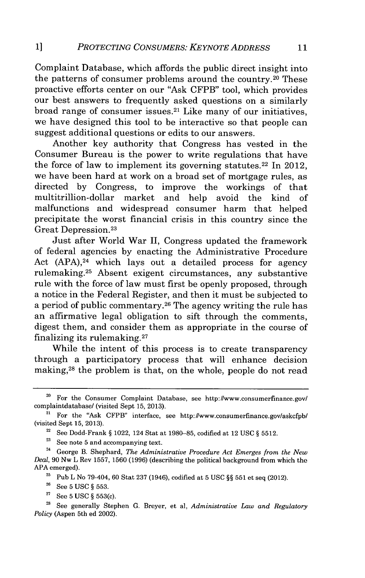Complaint Database, which affords the public direct insight into the patterns of consumer problems around the country. 20 These proactive efforts center on our "Ask CFPB" tool, which provides our best answers to frequently asked questions on a similarly broad range of consumer issues.21 Like many of our initiatives, we have designed this tool to be interactive so that people can suggest additional questions or edits to our answers.

Another key authority that Congress has vested in the Consumer Bureau is the power to write regulations that have the force of law to implement its governing statutes. 22 In 2012, we have been hard at work on a broad set of mortgage rules, as directed **by** Congress, to improve the workings of that market and help avoid the kind of malfunctions and widespread consumer harm that helped precipitate the worst financial crisis in this country since the Great Depression.23

Just after World War **II,** Congress updated the framework of federal agencies **by** enacting the Administrative Procedure Act  $(APA),<sup>24</sup>$  which lays out a detailed process for agency rulemaking. 25 Absent exigent circumstances, any substantive rule with the force of law must first be openly proposed, through a notice in the Federal Register, and then it must be subjected to a period of public commentary. 26 The agency writing the rule has an affirmative legal obligation to sift through the comments, digest them, and consider them as appropriate in the course of finalizing its rulemaking. <sup>27</sup>

While the intent of this process is to create transparency through a participatory process that will enhance decision making,<sup>28</sup> the problem is that, on the whole, people do not read

**<sup>22</sup>**See Dodd-Frank *§* 1022, 124 Stat at **1980-85,** codified at 12 **USC** *§* **5512.**

**<sup>23</sup>**See note **5** and accompanying text.

**<sup>24</sup>**George B. Shephard, *The Administrative Procedure Act Emerges from the New Deal,* **90** Nw L Rev **1557, 1560 (1996)** (describing the political background from which the **APA** emerged).

**<sup>2</sup>**Pub L No 79-404, **60** Stat **237** (1946), codified at **5 USC** *§§* **551** et seq (2012).

**<sup>26</sup>**See **5 USC** *§* **553.**

**<sup>27</sup>**See **5 USC** *§* 553(c).

**'8** See generally Stephen **G.** Breyer, et al, *Administrative Law and Regulatory Policy* (Aspen 5th ed 2002).

<sup>&</sup>lt;sup>20</sup> For the Consumer Complaint Database, see http://www.consumerfinance.gov/ complaintdatabase/ (visited Sept **15, 2013).**

**<sup>21</sup>** For the "Ask CFPB" interface, see http://www.consumerfinance.gov/askcfpb/ (visited Sept **15, 2013).**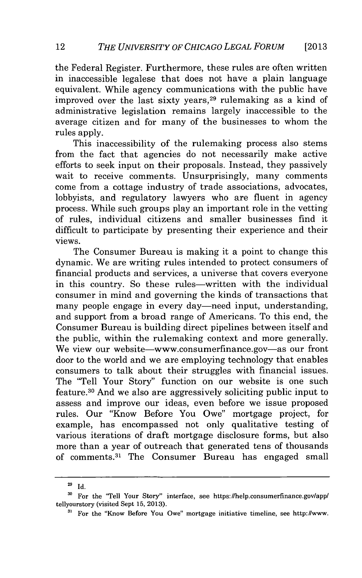the Federal Register. Furthermore, these rules are often written in inaccessible legalese that does not have a plain language equivalent. While agency communications with the public have improved over the last sixty years, 29 rulemaking as a kind of administrative legislation remains largely inaccessible to the average citizen and for many of the businesses to whom the rules apply.

This inaccessibility of the rulemaking process also stems from the fact that agencies do not necessarily make active efforts to seek input on their proposals. Instead, they passively wait to receive comments. Unsurprisingly, many comments come from a cottage industry of trade associations, advocates, lobbyists, and regulatory lawyers who are fluent in agency process. While such groups play an important role in the vetting of rules, individual citizens and smaller businesses find it difficult to participate **by** presenting their experience and their views.

The Consumer Bureau is making it a point to change this dynamic. We are writing rules intended to protect consumers of financial products and services, a universe that covers everyone in this country. So these rules—written with the individual consumer in mind and governing the kinds of transactions that many people engage in every day—need input, understanding, and support from a broad range of Americans. To this end, the Consumer Bureau is building direct pipelines between itself and the public, within the rulemaking context and more generally. We view our website—www.consumerfinance.gov—as our front door to the world and we are employing technology that enables consumers to talk about their struggles with financial issues. The "Tell Your Story" function on our website is one such feature. 30 And we also are aggressively soliciting public input to assess and improve our ideas, even before we issue proposed rules. Our "Know Before You Owe" mortgage project, for example, has encompassed not only qualitative testing of various iterations of draft mortgage disclosure forms, but also more than a year of outreach that generated tens of thousands of comments. 31 The Consumer Bureau has engaged small

**<sup>29</sup>Id.**

**<sup>3</sup>o For the "Tell Your Story" interface, see https://help.consumerfinance.gov/app/ tellyourstory (visited Sept 15, 2013).**

**<sup>31</sup> For the "Know Before You Owe" mortgage initiative timeline, see http://www.**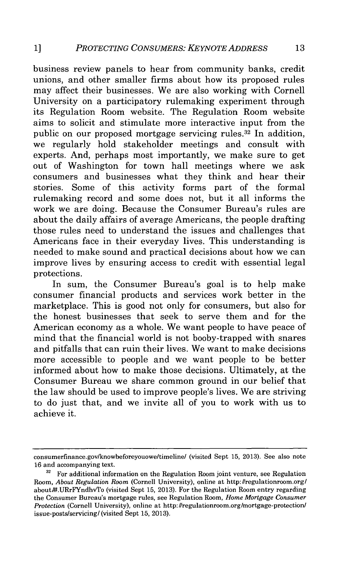business review panels to hear from community banks, credit unions, and other smaller firms about how its proposed rules may affect their businesses. We are also working with Cornell University on a participatory rulemaking experiment through its Regulation Room website. The Regulation Room website aims to solicit and stimulate more interactive input from the public on our proposed mortgage servicing rules.<sup>32</sup> In addition. we regularly hold stakeholder meetings and consult with experts. And, perhaps most importantly, we make sure to get out of Washington for town hall meetings where we ask consumers and businesses what they think and hear their stories. Some of this activity forms part of the formal rulemaking record and some does not, but it all informs the work we are doing. Because the Consumer Bureau's rules are about the daily affairs of average Americans, the people drafting those rules need to understand the issues and challenges that Americans face in their everyday lives. This understanding is needed to make sound and practical decisions about how we can improve lives **by** ensuring access to credit with essential legal protections.

In sum, the Consumer Bureau's goal is to help make consumer financial products and services work better in the marketplace. This is good not only for consumers, but also for the honest businesses that seek to serve them and for the American economy as a whole. We want people to have peace of mind that the financial world is not booby-trapped with snares and pitfalls that can ruin their lives. We want to make decisions more accessible to people and we want people to be better informed about how to make those decisions. Ultimately, at the Consumer Bureau we share common ground in our belief that the law should be used to improve people's lives. We are striving to do just that, and we invite all of you to work with us to achieve it.

consumerfinance.gov/knowbeforeyouowe/timeline/ (visited Sept **15, 2013).** See also note **16** and accompanying text.

**<sup>32</sup>**For additional information on the Regulation Room joint venture, see Regulation Room, *About Regulation Room* (Cornell University), online at http://regulationroom.org/ about#t.URrFYndhvTo (visited Sept **15, 2013).** For the Regulation Room entry regarding the Consumer Bureau's mortgage rules, see Regulation Room, *Home Mortgage Consumer Protection* (Cornell University), online at http://regulationroom.org/mortgage-protection/ issue-posts/servicing/(visited Sept **15, 2013).**